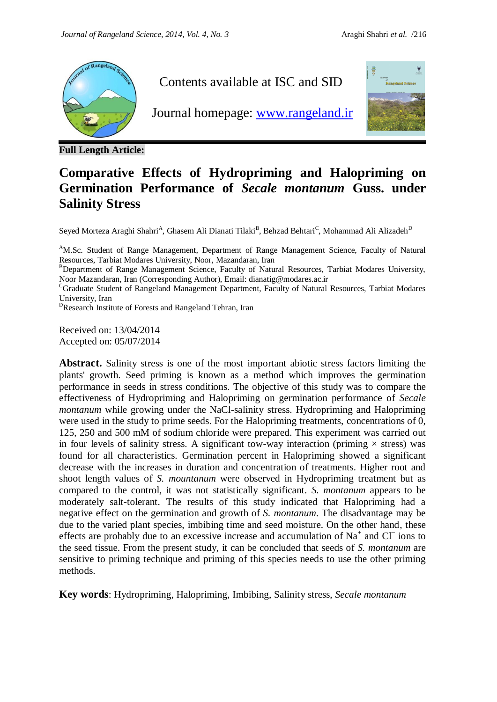

**Full Length Article:**

## **Comparative Effects of Hydropriming and Halopriming on Germination Performance of** *Secale montanum* **Guss. under Salinity Stress**

Seyed Morteza Araghi Shahri<sup>A</sup>, Ghasem Ali Dianati Tilaki<sup>B</sup>, Behzad Behtari<sup>C</sup>, Mohammad Ali Alizadeh<sup>D</sup>

<sup>A</sup>M.Sc. Student of Range Management, Department of Range Management Science, Faculty of Natural Resources, Tarbiat Modares University, Noor, Mazandaran, Iran

<sup>B</sup>Department of Range Management Science, Faculty of Natural Resources, Tarbiat Modares University, Noor Mazandaran, Iran (Corresponding Author), Email: dianatig@modares.ac.ir

<sup>C</sup>Graduate Student of Rangeland Management Department, Faculty of Natural Resources, Tarbiat Modares University, Iran

<sup>D</sup>Research Institute of Forests and Rangeland Tehran, Iran

Received on: 13/04/2014 Accepted on: 05/07/2014

**Abstract.** Salinity stress is one of the most important abiotic stress factors limiting the plants' growth. Seed priming is known as a method which improves the germination performance in seeds in stress conditions. The objective of this study was to compare the effectiveness of Hydropriming and Halopriming on germination performance of *Secale montanum* while growing under the NaCl-salinity stress. Hydropriming and Halopriming were used in the study to prime seeds. For the Halopriming treatments, concentrations of 0, 125, 250 and 500 mM of sodium chloride were prepared. This experiment was carried out in four levels of salinity stress. A significant tow-way interaction (priming  $\times$  stress) was found for all characteristics. Germination percent in Halopriming showed a significant decrease with the increases in duration and concentration of treatments. Higher root and shoot length values of *S. mountanum* were observed in Hydropriming treatment but as compared to the control, it was not statistically significant. *S. montanum* appears to be moderately salt-tolerant. The results of this study indicated that Halopriming had a negative effect on the germination and growth of *S. montanum*. The disadvantage may be due to the varied plant species, imbibing time and seed moisture. On the other hand, these effects are probably due to an excessive increase and accumulation of Na<sup>+</sup> and Cl<sup>−</sup> ions to the seed tissue. From the present study, it can be concluded that seeds of *S. montanum* are sensitive to priming technique and priming of this species needs to use the other priming methods.

**Key words**: Hydropriming, Halopriming, Imbibing, Salinity stress, *Secale montanum*

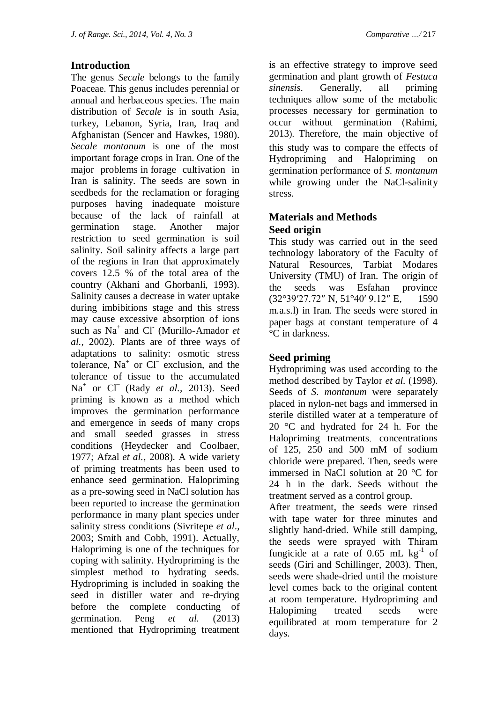### **Introduction**

The genus *Secale* belongs to the family Poaceae. This genus includes perennial or annual and herbaceous species. The main distribution of *Secale* is in south Asia, turkey, Lebanon, Syria, Iran, Iraq and Afghanistan (Sencer and Hawkes, 1980). *Secale montanum* is one of the most important forage crops in Iran. One of the major problems in forage cultivation in Iran is salinity. The seeds are sown in seedbeds for the reclamation or foraging purposes having inadequate moisture because of the lack of rainfall at germination stage. Another major restriction to seed germination is soil salinity. Soil salinity affects a large part of the regions in Iran that approximately covers 12.5 % of the total area of the country (Akhani and Ghorbanli, 1993). Salinity causes a decrease in water uptake during imbibitions stage and this stress may cause excessive absorption of ions such as Na<sup>+</sup> and Cl<sup>-</sup> (Murillo-Amador *et al.,* 2002). Plants are of three ways of adaptations to salinity: osmotic stress tolerance, Na<sup>+</sup> or Cl<sup>−</sup> exclusion, and the tolerance of tissue to the accumulated Na<sup>+</sup> or Cl<sup>−</sup> (Rady *et al.*, 2013). Seed priming is known as a method which improves the germination performance and emergence in seeds of many crops and small seeded grasses in stress conditions (Heydecker and Coolbaer, 1977; Afzal *et al.,* 2008). A wide variety of priming treatments has been used to enhance seed germination. Halopriming as a pre-sowing seed in NaCl solution has been reported to increase the germination performance in many plant species under salinity stress conditions (Sivritepe *et al*., 2003; Smith and Cobb, 1991). Actually, Halopriming is one of the techniques for coping with salinity. Hydropriming is the simplest method to hydrating seeds. Hydropriming is included in soaking the seed in distiller water and re-drying before the complete conducting of germination. Peng *et al.* (2013) mentioned that Hydropriming treatment

is an effective strategy to improve seed germination and plant growth of *Festuca sinensis.* Generally, all priming techniques allow some of the metabolic processes necessary for germination to occur without germination (Rahimi, 2013). Therefore, the main objective of this study was to compare the effects of Hydropriming and Halopriming on germination performance of *S. montanum* while growing under the NaCl-salinity stress.

## **Materials and Methods Seed origin**

This study was carried out in the seed technology laboratory of the Faculty of Natural Resources, Tarbiat Modares University (TMU) of Iran. The origin of the seeds was Esfahan province (32°39′27.72″ N, 51°40′ 9.12″ E, 1590 m.a.s.l) in Iran. The seeds were stored in paper bags at constant temperature of 4 °C in darkness.

## **Seed priming**

days.

Hydropriming was used according to the method described by Taylor *et al.* (1998). Seeds of *S*. *montanum* were separately placed in nylon-net bags and immersed in sterile distilled water at a temperature of 20 °C and hydrated for 24 h. For the Halopriming treatments, concentrations of 125, 250 and 500 mM of sodium chloride were prepared. Then, seeds were immersed in NaCl solution at 20 °C for 24 h in the dark. Seeds without the treatment served as a control group. After treatment, the seeds were rinsed with tape water for three minutes and slightly hand-dried. While still damping, the seeds were sprayed with Thiram fungicide at a rate of  $0.65$  mL kg<sup>-1</sup> of seeds (Giri and Schillinger, 2003). Then, seeds were shade-dried until the moisture level comes back to the original content at room temperature. Hydropriming and Halopiming treated seeds were equilibrated at room temperature for 2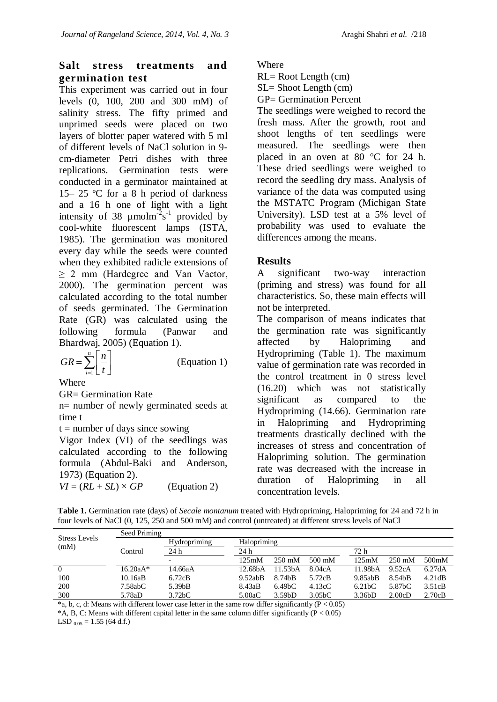## **Salt stress treatments and germination test**

This experiment was carried out in four levels (0, 100, 200 and 300 mM) of salinity stress. The fifty primed and unprimed seeds were placed on two layers of blotter paper watered with 5 ml of different levels of NaCl solution in 9 cm-diameter Petri dishes with three replications. Germination tests were conducted in a germinator maintained at 15– 25 ºC for a 8 h period of darkness and a 16 h one of light with a light intensity of 38  $\mu$ molm<sup>-2</sup>s<sup>-1</sup> provided by cool-white fluorescent lamps (ISTA, 1985). The germination was monitored every day while the seeds were counted when they exhibited radicle extensions of  $\geq$  2 mm (Hardegree and Van Vactor, 2000). The germination percent was calculated according to the total number of seeds germinated. The Germination Rate (GR) was calculated using the following formula (Panwar and Bhardwaj, 2005) (Equation 1).

$$
GR = \sum_{i=1}^{n} \left[ \frac{n}{t} \right] \tag{Equation 1}
$$

**Where** 

GR= Germination Rate

n= number of newly germinated seeds at time t

 $t =$  number of days since sowing

Vigor Index (VI) of the seedlings was calculated according to the following formula (Abdul-Baki and Anderson, 1973) (Equation 2).  $VI = (RL + SL) \times GP$  (Equation 2)

Where

RL= Root Length (cm)

SL= Shoot Length (cm)

GP= Germination Percent

The seedlings were weighed to record the fresh mass. After the growth, root and shoot lengths of ten seedlings were measured. The seedlings were then placed in an oven at 80 °C for 24 h. These dried seedlings were weighed to record the seedling dry mass. Analysis of variance of the data was computed using the MSTATC Program (Michigan State University). LSD test at a 5% level of probability was used to evaluate the differences among the means.

#### **Results**

A significant two-way interaction (priming and stress) was found for all characteristics. So, these main effects will not be interpreted.

The comparison of means indicates that the germination rate was significantly affected by Halopriming and Hydropriming (Table 1). The maximum value of germination rate was recorded in the control treatment in 0 stress level (16.20) which was not statistically significant as compared to the Hydropriming (14.66). Germination rate in Halopriming and Hydropriming treatments drastically declined with the increases of stress and concentration of Halopriming solution. The germination rate was decreased with the increase in duration of Halopriming in all concentration levels.

**Table 1.** Germination rate (days) of *Secale montanum* treated with Hydropriming, Halopriming for 24 and 72 h in four levels of NaCl (0, 125, 250 and 500 mM) and control (untreated) at different stress levels of NaCl

| Halopriming<br>Hydropriming<br>(mM)<br>72 h<br>24h<br>24 h<br>Control<br>500 <sub>m</sub> M<br>125mM<br>$250 \text{ mM}$<br>$500 \text{ mM}$<br>$250 \text{ mM}$<br>125mM<br>$\overline{\phantom{0}}$<br>11.53 <sub>b</sub> A<br>11.98bA<br>6.27dA<br>8.04cA<br>9.52cA<br>$16.20aA*$<br>12.68 <sub>h</sub> A<br>14.66aA<br>0<br>100<br>9.52abB<br>9.85abB<br>10.16aB<br>8.74bB<br>4.21dB<br>6.72cB<br>8.54bB<br>5.72cB<br>200<br>5.39bB<br>7.58abC<br>4.13cC<br>6.21 <sub>b</sub> C<br>3.51cB<br>8.43aB<br>6.49 <sub>b</sub> C<br>5.87bC | <b>Stress Levels</b> | Seed Priming |                     |        |                     |                     |        |        |        |  |  |
|------------------------------------------------------------------------------------------------------------------------------------------------------------------------------------------------------------------------------------------------------------------------------------------------------------------------------------------------------------------------------------------------------------------------------------------------------------------------------------------------------------------------------------------|----------------------|--------------|---------------------|--------|---------------------|---------------------|--------|--------|--------|--|--|
|                                                                                                                                                                                                                                                                                                                                                                                                                                                                                                                                          |                      |              |                     |        |                     |                     |        |        |        |  |  |
|                                                                                                                                                                                                                                                                                                                                                                                                                                                                                                                                          |                      |              |                     |        |                     |                     |        |        |        |  |  |
|                                                                                                                                                                                                                                                                                                                                                                                                                                                                                                                                          |                      |              |                     |        |                     |                     |        |        |        |  |  |
|                                                                                                                                                                                                                                                                                                                                                                                                                                                                                                                                          |                      |              |                     |        |                     |                     |        |        |        |  |  |
|                                                                                                                                                                                                                                                                                                                                                                                                                                                                                                                                          |                      |              |                     |        |                     |                     |        |        |        |  |  |
|                                                                                                                                                                                                                                                                                                                                                                                                                                                                                                                                          |                      |              |                     |        |                     |                     |        |        |        |  |  |
|                                                                                                                                                                                                                                                                                                                                                                                                                                                                                                                                          | 300                  | 5.78aD       | 3.72 <sub>b</sub> C | 5.00aC | 3.59 <sub>b</sub> D | 3.05 <sub>b</sub> C | 3.36bD | 2.00cD | 2.70cB |  |  |

 $*$ a, b, c, d: Means with different lower case letter in the same row differ significantly ( $P < 0.05$ )

 $*A$ , B, C: Means with different capital letter in the same column differ significantly ( $P < 0.05$ )

LSD  $_{0.05}$  = 1.55 (64 d.f.)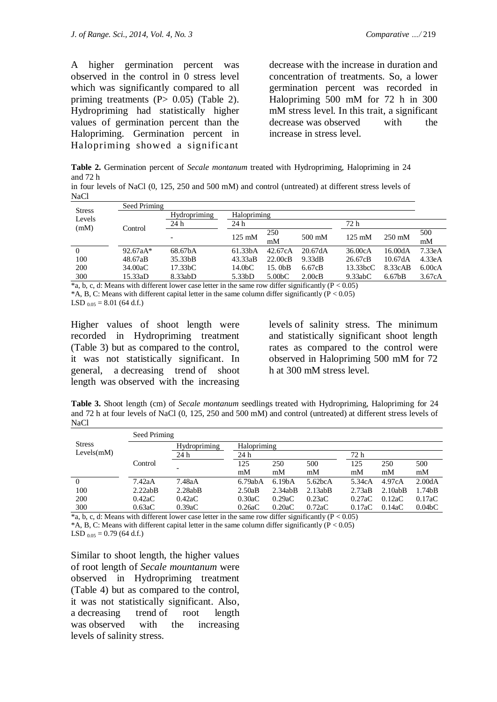A higher germination percent was observed in the control in 0 stress level which was significantly compared to all priming treatments  $(P> 0.05)$  (Table 2). Hydropriming had statistically higher values of germination percent than the Halopriming. Germination percent in Halopriming showed a significant

decrease with the increase in duration and concentration of treatments. So, a lower germination percent was recorded in Halopriming 500 mM for 72 h in 300 mM stress level. In this trait, a significant decrease was observed with the increase in stress level.

**Table 2.** Germination percent of *Secale montanum* treated with Hydropriming, Halopriming in 24 and 72 h

|      |  |  |  |  | in four levels of NaCl (0, 125, 250 and 500 mM) and control (untreated) at different stress levels of |  |  |  |
|------|--|--|--|--|-------------------------------------------------------------------------------------------------------|--|--|--|
| NaCl |  |  |  |  |                                                                                                       |  |  |  |

| Seed Priming |                      |                      |                     |         |                  |                     |        |  |  |  |
|--------------|----------------------|----------------------|---------------------|---------|------------------|---------------------|--------|--|--|--|
|              | Hydropriming         | Halopriming          |                     |         |                  |                     |        |  |  |  |
|              | 24 h                 | 24 h                 | 72 h                |         |                  |                     |        |  |  |  |
|              |                      |                      | 250                 |         |                  | $250 \text{ mM}$    | 500    |  |  |  |
|              |                      |                      | mM                  |         |                  |                     | mM     |  |  |  |
| $92.67aA*$   | 68.67bA              | 61.33 <sub>b</sub> A | 42.67cA             | 20.67dA | 36.00cA          | 16.00dA             | 7.33eA |  |  |  |
| 48.67aB      | 35.33bB              | 43.33aB              | 22.00cB             | 9.33dB  | 26.67cB          | 10.67dA             | 4.33eA |  |  |  |
| 34.00aC      | 17.33 <sub>b</sub> C | 14.0 <sub>b</sub> C  | 15.0bB              | 6.67cB  | 13.33bcC         | 8.33cAB             | 6.00cA |  |  |  |
| 15.33aD      | 8.33abD              | 5.33 <sub>b</sub> D  | 5.00 <sub>b</sub> C | 2.00cB  | 9.33abc          | 6.67 <sub>b</sub> B | 3.67cA |  |  |  |
|              | Control<br>.         |                      | $125 \text{ mM}$    |         | $500 \text{ mM}$ | $125 \text{ mM}$    |        |  |  |  |

 $*$ a, b, c, d: Means with different lower case letter in the same row differ significantly ( $P < 0.05$ )  $*A$ , B, C: Means with different capital letter in the same column differ significantly ( $P < 0.05$ )

LSD  $_{0.05}$  = 8.01 (64 d.f.)

Higher values of shoot length were recorded in Hydropriming treatment (Table 3) but as compared to the control, it was not statistically significant. In general, a decreasing trend of shoot length was observed with the increasing

levels of salinity stress. The minimum and statistically significant shoot length rates as compared to the control were observed in Halopriming 500 mM for 72 h at 300 mM stress level.

**Table 3.** Shoot length (cm) of *Secale montanum* seedlings treated with Hydropriming, Halopriming for 24 and 72 h at four levels of NaCl (0, 125, 250 and 500 mM) and control (untreated) at different stress levels of NaCl

|               | Seed Priming |              |         |                     |                      |        |         |                     |  |  |  |
|---------------|--------------|--------------|---------|---------------------|----------------------|--------|---------|---------------------|--|--|--|
| <b>Stress</b> |              | Hydropriming |         |                     |                      |        |         |                     |  |  |  |
| Levels(mM)    |              | 24 h         | 24 h    |                     |                      | 72 h   |         |                     |  |  |  |
|               | Control      |              | 125     | 250                 | 500                  | 125    | 250     | 500                 |  |  |  |
|               |              |              | mM      | mM                  | mM                   | mM     | mM      | mM                  |  |  |  |
| $\theta$      | 7.42aA       | 7.48aA       | 6.79abA | 6.19 <sub>b</sub> A | 5.62 <sub>b</sub> CA | 5.34cA | 4.97cA  | 2.00dA              |  |  |  |
| 100           | 2.22abB      | 2.28abB      | 2.50aB  | 2.34abB             | 2.13abB              | 2.73aB | 2.10abB | 1.74 <sub>b</sub> B |  |  |  |
| 200           | 0.42aC       | 0.42aC       | 0.30aC  | 0.29aC              | 0.23aC               | 0.27aC | 0.12aC  | 0.17aC              |  |  |  |
| 300           | 0.63aC       | 0.39aC       | 0.26aC  | 0.20aC              | 0.72aC               | 0.17aC | 0.14aC  | 0.04 <sub>b</sub> C |  |  |  |

 $*$ a, b, c, d: Means with different lower case letter in the same row differ significantly ( $P < 0.05$ ) \*A, B, C: Means with different capital letter in the same column differ significantly  $(P < 0.05)$ 

LSD  $_{0.05}$  = 0.79 (64 d.f.)

Similar to shoot length, the higher values of root length of *Secale mountanum* were observed in Hydropriming treatment (Table 4) but as compared to the control, it was not statistically significant. Also, a decreasing trend of root length was observed with the increasing levels of salinity stress.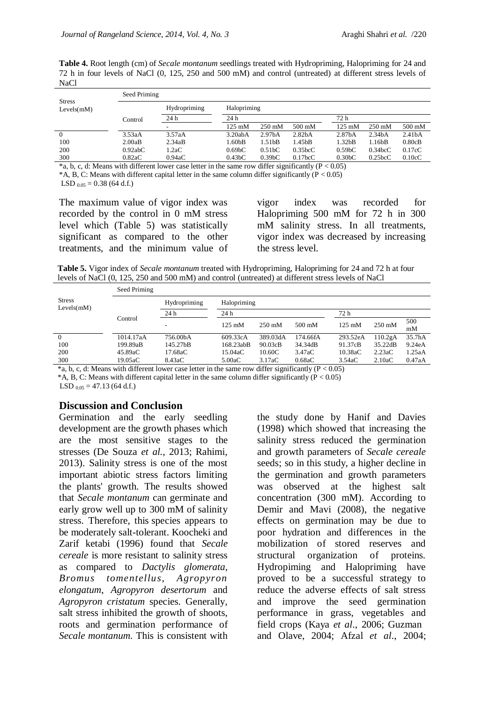**Table 4.** Root length (cm) of *Secale montanum* seedlings treated with Hydropriming, Halopriming for 24 and 72 h in four levels of NaCl (0, 125, 250 and 500 mM) and control (untreated) at different stress levels of NaCl

|                             | Seed Priming |              |                     |                     |                      |                     |                     |                    |  |  |  |
|-----------------------------|--------------|--------------|---------------------|---------------------|----------------------|---------------------|---------------------|--------------------|--|--|--|
| <b>Stress</b><br>Levels(mM) |              | Hydropriming | Halopriming         |                     |                      |                     |                     |                    |  |  |  |
|                             | Control      | 24 h         | 24 h                |                     |                      | 72 h                |                     |                    |  |  |  |
|                             |              |              | $125 \text{ mM}$    | $250 \text{ mM}$    | $500 \text{ mM}$     | $125 \text{ mM}$    | $250 \text{ mM}$    | $500 \text{ mM}$   |  |  |  |
| $\overline{0}$              | 3.53aA       | 3.57aA       | 3.20abA             | 2.97 <sub>h</sub> A | 2.82 <sub>h</sub> A  | 2.87 <sub>b</sub> A | 2.34 <sub>b</sub> A | 2.41 <sub>bA</sub> |  |  |  |
| 100                         | 2.00aB       | 2.34aB       | 1.60bB              | 1.51 <sub>bB</sub>  | 1.45bB               | 1.32 <sub>b</sub> B | 1.16bB              | 0.80cB             |  |  |  |
| 200                         | 0.92abC      | 1.2aC        | 0.69 <sub>b</sub> C | 0.51 <sub>b</sub> C | 0.35bcC              | 0.59 <sub>b</sub> C | 0.34bcC             | 0.17cC             |  |  |  |
| 300                         | 0.82aC       | 0.94aC       | 0.43 <sub>b</sub> C | 0.39 <sub>b</sub> C | 0.17 <sub>bc</sub> C | 0.30 <sub>b</sub> C | 0.25bcC             | 0.10cC             |  |  |  |

 $*$ a, b, c, d: Means with different lower case letter in the same row differ significantly (P < 0.05)  $*A$ , B, C: Means with different capital letter in the same column differ significantly ( $P < 0.05$ ) LSD  $_{0.05}$  = 0.38 (64 d.f.)

The maximum value of vigor index was recorded by the control in 0 mM stress level which (Table 5) was statistically significant as compared to the other treatments, and the minimum value of vigor index was recorded for Halopriming 500 mM for 72 h in 300 mM salinity stress. In all treatments, vigor index was decreased by increasing the stress level.

**Table 5.** Vigor index of *Secale montanum* treated with Hydropriming, Halopriming for 24 and 72 h at four levels of NaCl (0, 125, 250 and 500 mM) and control (untreated) at different stress levels of NaCl

| <b>Stress</b><br>Levels(mM) | Seed Priming |                                                                                                                                                                                                                                                           |                  |                  |          |                  |                  |           |  |  |  |  |
|-----------------------------|--------------|-----------------------------------------------------------------------------------------------------------------------------------------------------------------------------------------------------------------------------------------------------------|------------------|------------------|----------|------------------|------------------|-----------|--|--|--|--|
|                             |              | Hydropriming                                                                                                                                                                                                                                              | Halopriming      |                  |          |                  |                  |           |  |  |  |  |
|                             |              | 24h                                                                                                                                                                                                                                                       | 24h              |                  |          | 72 h             |                  |           |  |  |  |  |
|                             | Control      |                                                                                                                                                                                                                                                           | $125 \text{ mM}$ | $250 \text{ mM}$ | 500 mM   | $125 \text{ mM}$ | $250 \text{ mM}$ | 500<br>mM |  |  |  |  |
| $\overline{0}$              | 1014.17aA    | 756.00bA                                                                                                                                                                                                                                                  | 609.33cA         | 389.03dA         | 174.66fA | 293.52eA         | 110.2gA          | 35.7hA    |  |  |  |  |
| 100                         | 199.89aB     | 145.27bB                                                                                                                                                                                                                                                  | 168.23abB        | 90.03cB          | 34.34dB  | 91.37cB          | 35.22dB          | 9.24eA    |  |  |  |  |
| 200                         | 45.89aC      | 17.68aC                                                                                                                                                                                                                                                   | 15.04aC          | 10.60C           | 3.47aC   | 10.38aC          | 2.23aC           | 1.25aA    |  |  |  |  |
| 300                         | 19.05aC      | 8.43aC                                                                                                                                                                                                                                                    | 5.00aC           | 3.17aC           | 0.68aC   | 3.54aC           | 2.10aC           | 0.47aA    |  |  |  |  |
|                             |              | $\star$ $1 - 1$ , $M_{\text{20}}$ , $M_{\text{10}}$ , $M_{\text{20}}$ , $M_{\text{20}}$ , $M_{\text{20}}$ , $M_{\text{20}}$ , $M_{\text{20}}$ , $M_{\text{20}}$ , $M_{\text{20}}$ , $M_{\text{20}}$ , $M_{\text{20}}$ , $M_{\text{20}}$ , $M_{\text{20}}$ |                  |                  |          |                  |                  |           |  |  |  |  |

 $*$ a, b, c, d: Means with different lower case letter in the same row differ significantly (P < 0.05)  $*A$ , B, C: Means with different capital letter in the same column differ significantly ( $P < 0.05$ ) LSD  $_{0.05}$  = 47.13 (64 d.f.)

#### **Discussion and Conclusion**

Germination and the early seedling development are the growth phases which are the most sensitive stages to the stresses (De Souza *et al.,* 2013; Rahimi, 2013). Salinity stress is one of the most important abiotic stress factors limiting the plants' growth. The results showed that *Secale montanum* can germinate and early grow well up to 300 mM of salinity stress. Therefore, this species appears to be moderately salt-tolerant. Koocheki and Zarif ketabi (1996) found that *Secale cereale* is more resistant to salinity stress as compared to *Dactylis glomerata*, *Bromus tomentellus*, *Agropyron elongatum*, *Agropyron desertorum* and *Agropyron cristatum* species. Generally, salt stress inhibited the growth of shoots, roots and germination performance of *Secale montanum.* This is consistent with the study done by Hanif and Davies (1998) which showed that increasing the salinity stress reduced the germination and growth parameters of *Secale cereale* seeds; so in this study, a higher decline in the germination and growth parameters was observed at the highest salt concentration (300 mM). According to Demir and Mavi (2008), the negative effects on germination may be due to poor hydration and differences in the mobilization of stored reserves and structural organization of proteins. Hydropiming and Halopriming have proved to be a successful strategy to reduce the adverse effects of salt stress and improve the seed germination performance in grass, vegetables and field crops (Kaya *et al*., 2006; Guzman and Olave, 2004; Afzal *et al*., 2004;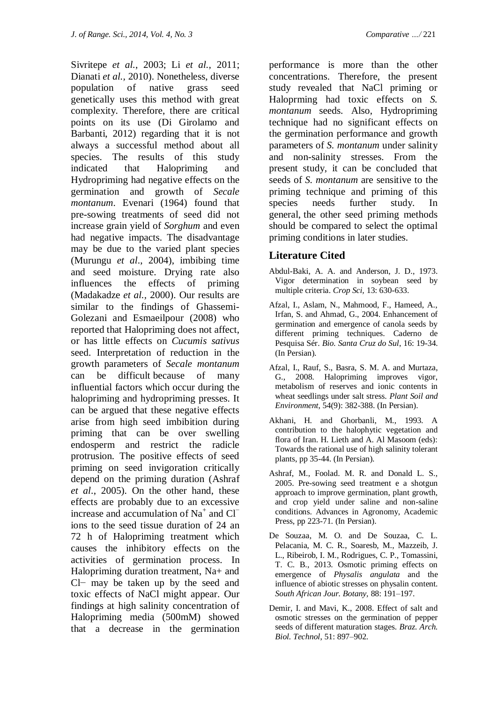Sivritepe *et al.*, 2003; Li *et al.,* 2011; Dianati *et al.,* 2010). Nonetheless, diverse population of native grass seed genetically uses this method with great complexity. Therefore, there are critical points on its use (Di Girolamo and Barbanti, 2012) regarding that it is not always a successful method about all species. The results of this study indicated that Halopriming and Hydropriming had negative effects on the germination and growth of *Secale montanum*. Evenari (1964) found that pre-sowing treatments of seed did not increase grain yield of *Sorghum* and even had negative impacts. The disadvantage may be due to the varied plant species (Murungu *et al*., 2004), imbibing time and seed moisture. Drying rate also influences the effects of priming (Madakadze *et al.,* 2000). Our results are similar to the findings of Ghassemi-Golezani and Esmaeilpour (2008) who reported that Halopriming does not affect, or has little effects on *Cucumis sativus*  seed. Interpretation of reduction in the growth parameters of *Secale montanum* can be difficult because of many influential factors which occur during the halopriming and hydropriming presses. It can be argued that these negative effects arise from high seed imbibition during priming that can be over swelling endosperm and restrict the radicle protrusion. The positive effects of seed priming on seed invigoration critically depend on the priming duration (Ashraf *et al*., 2005). On the other hand, these effects are probably due to an excessive increase and accumulation of Na<sup>+</sup> and  $Cl^$ ions to the seed tissue duration of 24 an 72 h of Halopriming treatment which causes the inhibitory effects on the activities of germination process. In Halopriming duration treatment, Na+ and Cl− may be taken up by the seed and toxic effects of NaCl might appear. Our findings at high salinity concentration of Halopriming media (500mM) showed that a decrease in the germination performance is more than the other concentrations. Therefore, the present study revealed that NaCl priming or Haloprming had toxic effects on *S. montanum* seeds. Also, Hydropriming technique had no significant effects on the germination performance and growth parameters of *S. montanum* under salinity and non-salinity stresses. From the present study, it can be concluded that seeds of *S. montanum* are sensitive to the priming technique and priming of this species needs further study. In general, the other seed priming methods should be compared to select the optimal priming conditions in later studies.

### **Literature Cited**

- Abdul-Baki, A. A. and Anderson, J. D., 1973. Vigor determination in soybean seed by multiple criteria. *Crop Sci,* 13: 630-633.
- Afzal, I., Aslam, N., Mahmood, F., Hameed, A., Irfan, S. and Ahmad, G., 2004. Enhancement of germination and emergence of canola seeds by different priming techniques. Caderno de Pesquisa Sér. *Bio. Santa Cruz do Sul*, 16: 19-34. (In Persian).
- [Afzal, I.](http://apps.isiknowledge.com/OneClickSearch.do?product=UA&search_mode=OneClickSearch&doc=10&db_id=&SID=1EF9E2KCgDKcAMp4C99&field=AU&value=Afzal%20I&ut=000259581800003&pos=1), [Rauf, S.](http://apps.isiknowledge.com/OneClickSearch.do?product=UA&search_mode=OneClickSearch&doc=10&db_id=&SID=1EF9E2KCgDKcAMp4C99&field=AU&value=Rauf%20S&ut=000259581800003&pos=2), [Basra, S. M. A.](http://apps.isiknowledge.com/OneClickSearch.do?product=UA&search_mode=OneClickSearch&doc=10&db_id=&SID=1EF9E2KCgDKcAMp4C99&field=AU&value=Basra%20SMA&ut=000259581800003&pos=3) and [Murtaza,](http://apps.isiknowledge.com/OneClickSearch.do?product=UA&search_mode=OneClickSearch&doc=10&db_id=&SID=1EF9E2KCgDKcAMp4C99&field=AU&value=Murtaza%20G&ut=000259581800003&pos=4)  [G.](http://apps.isiknowledge.com/OneClickSearch.do?product=UA&search_mode=OneClickSearch&doc=10&db_id=&SID=1EF9E2KCgDKcAMp4C99&field=AU&value=Murtaza%20G&ut=000259581800003&pos=4), 2008. Halopriming improves vigor, metabolism of reserves and ionic contents in wheat seedlings under salt stress. *Plant Soil and Environment*, 54(9): 382-388. (In Persian).
- Akhani, H. and Ghorbanli, M., 1993. A contribution to the halophytic vegetation and flora of Iran. H. Lieth and A. Al Masoom (eds): Towards the rational use of high salinity tolerant plants, pp 35-44. (In Persian).
- Ashraf, M., Foolad. M. R. and Donald L. S., 2005. Pre-sowing seed treatment e a shotgun approach to improve germination, plant growth, and crop yield under saline and non-saline conditions. Advances in Agronomy, Academic Press, pp 223-71. (In Persian).
- De Souzaa, M. O. and De Souzaa, C. L. Pelacania, M. C. R., Soaresb, M., Mazzeib, J. L., Ribeirob, I. M., Rodrigues, C. P., Tomassini, T. C. B., 2013. Osmotic priming effects on emergence of *Physalis angulata* and the influence of abiotic stresses on physalin content. *South African Jour. Botany,* 88: 191–197.
- Demir, I. and Mavi, K., 2008. Effect of salt and osmotic stresses on the germination of pepper seeds of different maturation stages. *Braz. Arch. Biol. Technol*, 51: 897–902.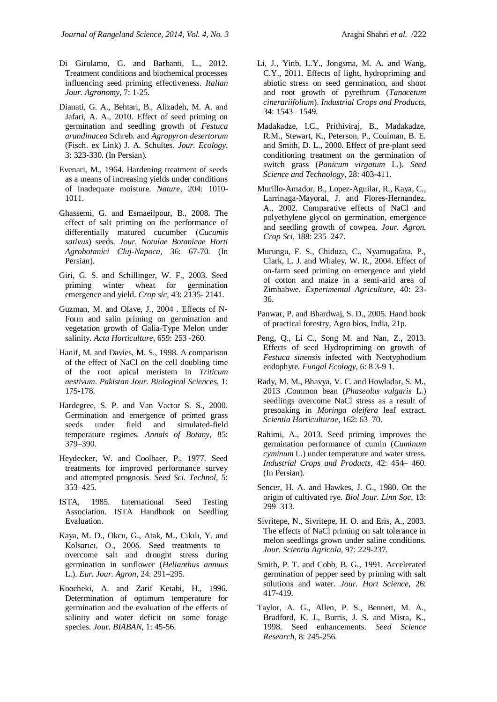- Di Girolamo, G. and Barbanti, L., 2012. Treatment conditions and biochemical processes influencing seed priming effectiveness. *Italian Jour. Agronomy,* 7: 1-25.
- Dianati, G. A., Behtari, B., Alizadeh, M. A. and Jafari, A. A., 2010. Effect of seed priming on germination and seedling growth of *Festuca arundinacea* Schreb. and *Agropyron desertorum* (Fisch. ex Link) J. A. Schultes. *Jour. Ecology*, 3: 323-330. (In Persian).
- Evenari, M., 1964. Hardening treatment of seeds as a means of increasing yields under conditions of inadequate moisture. *Nature,* 204: 1010- 1011.
- Ghassemi, G. and Esmaeilpour, B., 2008. The effect of salt priming on the performance of differentially matured cucumber (*Cucumis sativus*) seeds. *Jour. Notulae Botanicae Horti Agrobotanici Cluj-Napoca*, 36: 67-70. (In Persian).
- Giri, G. S. and Schillinger, W. F., 2003. Seed priming winter wheat for germination emergence and yield. *Crop sic,* 43: 2135- 2141.
- Guzman, M. and Olave, J., 2004 . Effects of N-Form and salin priming on germination and vegetation growth of Galia-Type Melon under salinity. *Acta Horticulture*, 659: 253 -260.
- Hanif, M. and Davies, M. S., 1998. A comparison of the effect of NaCl on the cell doubling time of the root apical meristem in *Triticum aestivum*. *Pakistan Jour. Biological Sciences*, 1: 175-178.
- Hardegree, S. P. and Van Vactor S. S., 2000. Germination and emergence of primed grass seeds under field and simulated-field temperature regimes. *Annals of Botany*, 85: 379–390.
- Heydecker, W. and Coolbaer, P., 1977. Seed treatments for improved performance survey and attempted prognosis. *Seed Sci. Technol*, 5: 353–425.
- ISTA, 1985. International Seed Testing Association. ISTA Handbook on Seedling Evaluation.
- Kaya, M. D., Okcu, G., Atak, M., Cıkılı, Y. and Kolsarıcı, O., 2006. Seed treatments to overcome salt and drought stress during germination in sunflower (*Helianthus annuus* L.). *Eur. Jour. Agron*, 24: 291–295.
- Koocheki, A. and Zarif Ketabi, H., 1996. Determination of optimum temperature for germination and the evaluation of the effects of salinity and water deficit on some forage species. *Jour. BIABAN*, 1: 45-56.
- Li, J., Yinb, L.Y., Jongsma, M. A. and Wang, C.Y., 2011. Effects of light, hydropriming and abiotic stress on seed germination, and shoot and root growth of pyrethrum (*Tanacetum cinerariifolium*). *Industrial Crops and Products*, 34: 1543– 1549.
- Madakadze, I.C., Prithiviraj, B., Madakadze, R.M., Stewart, K., Peterson, P., Coulman, B. E. and Smith, D. L., 2000. Effect of pre-plant seed conditioning treatment on the germination of switch grass (*Panicum virgatum* L.). *Seed Science and Technology,* 28: 403-411.
- Murillo-Amador, B., Lopez-Aguilar, R., Kaya, C., Larrinaga-Mayoral, J. and Flores-Hernandez, A., 2002. Comparative effects of NaCl and polyethylene glycol on germination, emergence and seedling growth of cowpea. *Jour. Agron. Crop Sci*, 188: 235–247.
- Murungu, F. S., Chiduza, C., Nyamugafata, P., Clark, L. J. and Whaley, W. R., 2004. Effect of on-farm seed priming on emergence and yield of cotton and maize in a semi-arid area of Zimbabwe. *Experimental Agriculture,* 40: 23- 36.
- Panwar, P. and Bhardwaj, S. D., 2005. Hand book of practical forestry, Agro bios, India, 21p.
- Peng, Q., Li C., Song M. and Nan, Z., 2013. Effects of seed Hydropriming on growth of *Festuca sinensis* infected with Neotyphodium endophyte*. Fungal Ecology*, 6: 8 3-9 1.
- Rady, M. M., Bhavya, V. C. and Howladar, S. M., 2013 .Common bean (*Phaseolus vulgaris* L.) seedlings overcome NaCl stress as a result of presoaking in *Moringa oleifera* leaf extract. *Scientia Horticulturae*, 162: 63–70.
- Rahimi, A., 2013. Seed priming improves the germination performance of cumin (*Cuminum cyminum* L.) under temperature and water stress. *Industrial Crops and Products,* 42: 454– 460. (In Persian).
- Sencer, H. A. and Hawkes, J. G., 1980. On the origin of cultivated rye. *Biol Jour. Linn Soc,* 13: 299–313.
- Sivritepe, N., Sivritepe, H. O. and Eris, A., 2003. The effects of NaCl priming on salt tolerance in melon seedlings grown under saline conditions. *Jour. Scientia Agricola*, 97: 229-237.
- Smith, P. T. and Cobb, B. G., 1991. Accelerated germination of pepper seed by priming with salt solutions and water. *Jour. Hort Science*, 26: 417-419.
- Taylor, A. G., Allen, P. S., Bennett, M. A., Bradford, K. J., Burris, J. S. and Misra, K., 1998. Seed enhancements. *Seed Science Research,* 8: 245-256.